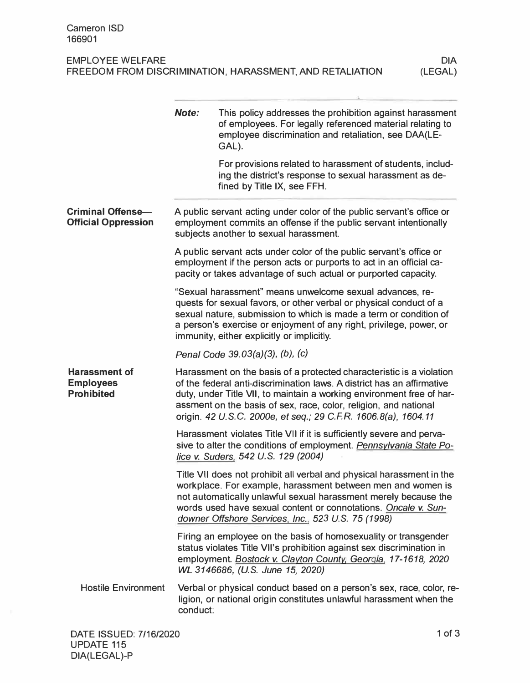| <b>EMPLOYEE WELFARE</b>                                  | <b>DIA</b> |
|----------------------------------------------------------|------------|
| FREEDOM FROM DISCRIMINATION, HARASSMENT, AND RETALIATION | (LEGAL)    |
|                                                          |            |

|                                                               | Note:                                                                                                                                                                                                                                                                                                                    | This policy addresses the prohibition against harassment<br>of employees. For legally referenced material relating to<br>employee discrimination and retaliation, see DAA(LE-<br>GAL).                                                                                                                                                                        |  |
|---------------------------------------------------------------|--------------------------------------------------------------------------------------------------------------------------------------------------------------------------------------------------------------------------------------------------------------------------------------------------------------------------|---------------------------------------------------------------------------------------------------------------------------------------------------------------------------------------------------------------------------------------------------------------------------------------------------------------------------------------------------------------|--|
|                                                               |                                                                                                                                                                                                                                                                                                                          | For provisions related to harassment of students, includ-<br>ing the district's response to sexual harassment as de-<br>fined by Title IX, see FFH.                                                                                                                                                                                                           |  |
| <b>Criminal Offense-</b><br><b>Official Oppression</b>        |                                                                                                                                                                                                                                                                                                                          | A public servant acting under color of the public servant's office or<br>employment commits an offense if the public servant intentionally<br>subjects another to sexual harassment.                                                                                                                                                                          |  |
|                                                               |                                                                                                                                                                                                                                                                                                                          | A public servant acts under color of the public servant's office or<br>employment if the person acts or purports to act in an official ca-<br>pacity or takes advantage of such actual or purported capacity.                                                                                                                                                 |  |
|                                                               | "Sexual harassment" means unwelcome sexual advances, re-<br>quests for sexual favors, or other verbal or physical conduct of a<br>sexual nature, submission to which is made a term or condition of<br>a person's exercise or enjoyment of any right, privilege, power, or<br>immunity, either explicitly or implicitly. |                                                                                                                                                                                                                                                                                                                                                               |  |
|                                                               |                                                                                                                                                                                                                                                                                                                          | Penal Code 39.03(a)(3), (b), (c)                                                                                                                                                                                                                                                                                                                              |  |
| <b>Harassment of</b><br><b>Employees</b><br><b>Prohibited</b> |                                                                                                                                                                                                                                                                                                                          | Harassment on the basis of a protected characteristic is a violation<br>of the federal anti-discrimination laws. A district has an affirmative<br>duty, under Title VII, to maintain a working environment free of har-<br>assment on the basis of sex, race, color, religion, and national<br>origin. 42 U.S.C. 2000e, et seq.; 29 C.F.R. 1606.8(a), 1604.11 |  |
|                                                               |                                                                                                                                                                                                                                                                                                                          | Harassment violates Title VII if it is sufficiently severe and perva-<br>sive to alter the conditions of employment. Pennsylvania State Po-<br>lice v. Suders, 542 U.S. 129 (2004)                                                                                                                                                                            |  |
|                                                               |                                                                                                                                                                                                                                                                                                                          | Title VII does not prohibit all verbal and physical harassment in the<br>workplace. For example, harassment between men and women is<br>not automatically unlawful sexual harassment merely because the<br>words used have sexual content or connotations. Oncale v. Sun-<br>downer Offshore Services, Inc., 523 U.S. 75 (1998)                               |  |
|                                                               |                                                                                                                                                                                                                                                                                                                          | Firing an employee on the basis of homosexuality or transgender<br>status violates Title VII's prohibition against sex discrimination in<br>employment. Bostock v. Clayton County, Georgia, 17-1618, 2020<br>WL 3146686, (U.S. June 15, 2020)                                                                                                                 |  |
| <b>Hostile Environment</b>                                    | conduct:                                                                                                                                                                                                                                                                                                                 | Verbal or physical conduct based on a person's sex, race, color, re-<br>ligion, or national origin constitutes unlawful harassment when the                                                                                                                                                                                                                   |  |
|                                                               |                                                                                                                                                                                                                                                                                                                          |                                                                                                                                                                                                                                                                                                                                                               |  |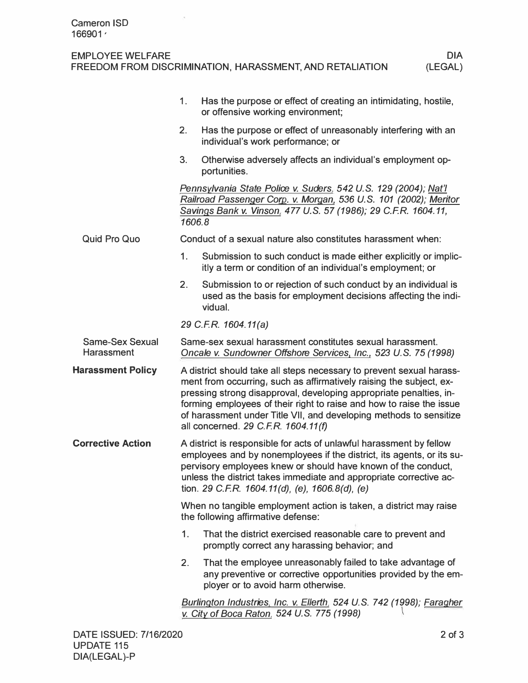EMPLOYEE WELFARE

FREEDOM FROM DISCRIMINATION, HARASSMENT, AND RETALIATION

|                                             | 1.                                                                                                                                                                                                                                                                                                                                                                                                     | Has the purpose or effect of creating an intimidating, hostile,<br>or offensive working environment;                                                                                                  |  |
|---------------------------------------------|--------------------------------------------------------------------------------------------------------------------------------------------------------------------------------------------------------------------------------------------------------------------------------------------------------------------------------------------------------------------------------------------------------|-------------------------------------------------------------------------------------------------------------------------------------------------------------------------------------------------------|--|
|                                             | 2.                                                                                                                                                                                                                                                                                                                                                                                                     | Has the purpose or effect of unreasonably interfering with an<br>individual's work performance; or                                                                                                    |  |
|                                             | 3.                                                                                                                                                                                                                                                                                                                                                                                                     | Otherwise adversely affects an individual's employment op-<br>portunities.                                                                                                                            |  |
|                                             | 1606.8                                                                                                                                                                                                                                                                                                                                                                                                 | Pennsylvania State Police v. Suders, 542 U.S. 129 (2004); Nat'l<br>Railroad Passenger Corp. v. Morgan, 536 U.S. 101 (2002); Meritor<br>Savings Bank v. Vinson, 477 U.S. 57 (1986); 29 C.F.R. 1604.11, |  |
| <b>Quid Pro Quo</b>                         |                                                                                                                                                                                                                                                                                                                                                                                                        | Conduct of a sexual nature also constitutes harassment when:                                                                                                                                          |  |
|                                             | 1 <sub>1</sub>                                                                                                                                                                                                                                                                                                                                                                                         | Submission to such conduct is made either explicitly or implic-<br>itly a term or condition of an individual's employment; or                                                                         |  |
|                                             | 2.                                                                                                                                                                                                                                                                                                                                                                                                     | Submission to or rejection of such conduct by an individual is<br>used as the basis for employment decisions affecting the indi-<br>vidual.                                                           |  |
|                                             |                                                                                                                                                                                                                                                                                                                                                                                                        | 29 C.F.R. 1604.11(a)                                                                                                                                                                                  |  |
| <b>Same-Sex Sexual</b><br><b>Harassment</b> | Same-sex sexual harassment constitutes sexual harassment.<br>Oncale v. Sundowner Offshore Services, Inc., 523 U.S. 75 (1998)                                                                                                                                                                                                                                                                           |                                                                                                                                                                                                       |  |
| <b>Harassment Policy</b>                    | A district should take all steps necessary to prevent sexual harass-<br>ment from occurring, such as affirmatively raising the subject, ex-<br>pressing strong disapproval, developing appropriate penalties, in-<br>forming employees of their right to raise and how to raise the issue<br>of harassment under Title VII, and developing methods to sensitize<br>all concerned. 29 C.F.R. 1604.11(f) |                                                                                                                                                                                                       |  |
| <b>Corrective Action</b>                    | A district is responsible for acts of unlawful harassment by fellow<br>employees and by nonemployees if the district, its agents, or its su-<br>pervisory employees knew or should have known of the conduct,<br>unless the district takes immediate and appropriate corrective ac-<br>tion. 29 C.F.R. 1604.11(d), (e), 1606.8(d), (e)                                                                 |                                                                                                                                                                                                       |  |
|                                             | When no tangible employment action is taken, a district may raise<br>the following affirmative defense:                                                                                                                                                                                                                                                                                                |                                                                                                                                                                                                       |  |
|                                             | 1.                                                                                                                                                                                                                                                                                                                                                                                                     | That the district exercised reasonable care to prevent and<br>promptly correct any harassing behavior; and                                                                                            |  |
|                                             | 2.                                                                                                                                                                                                                                                                                                                                                                                                     | That the employee unreasonably failed to take advantage of<br>any preventive or corrective opportunities provided by the em-<br>ployer or to avoid harm otherwise.                                    |  |
|                                             |                                                                                                                                                                                                                                                                                                                                                                                                        | Burlington Industries, Inc. v. Ellerth, 524 U.S. 742 (1998); Faragher<br>v. City of Boca Raton, 524 U.S. 775 (1998)                                                                                   |  |